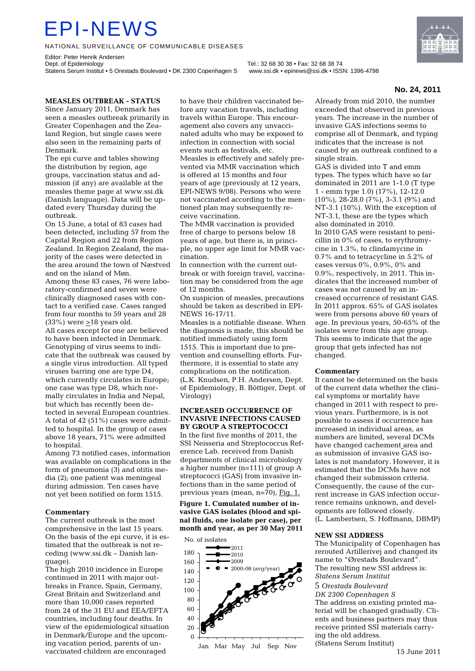# EPI-NEWS

NATIONAL SURVEILLANCE OF COMMUNICABLE DISEASES

Editor: Peter Henrik Andersen<br>Dept. of Epidemiology Statens Serum Institut • 5 Orestads Boulevard • DK 2300 Copenhagen S www.ssi.dk • epinews@ssi.dk • ISSN: 1396-4798

Tel.: 32 68 30 38 • Fax: 32 68 38 74



### **No. 24, 2011**

#### **MEASLES OUTBREAK - STATUS**  Since January 2011, Denmark has

seen a measles outbreak primarily in Greater Copenhagen and the Zealand Region, but single cases were also seen in the remaining parts of Denmark.

The epi curve and tables showing the distribution by region, age groups, vaccination status and admission (if any) are available at the measles theme page at www.ssi.dk (Danish language). Data will be updated every Thursday during the outbreak.

On 15 June, a total of 83 cases had been detected, including 57 from the Capital Region and 22 from Region Zealand. In Region Zealand, the majority of the cases were detected in the area around the town of Næstved and on the island of Møn. Among these 83 cases, 76 were laboratory-confirmed and seven were clinically diagnosed cases with contact to a verified case. Cases ranged from four months to 59 years and 28 (33%) were  $\geq$ 18 years old. All cases except for one are believed to have been infected in Denmark.

Genotyping of virus seems to indicate that the outbreak was caused by a single virus introduction. All typed viruses barring one are type D4, which currently circulates in Europe; one case was type D8, which normally circulates in India and Nepal, but which has recently been detected in several European countries. A total of 42 (51%) cases were admitted to hospital. In the group of cases above 18 years, 71% were admitted to hospital.

Among 73 notified cases, information was available on complications in the form of pneumonia (3) and otitis media (2); one patient was meningeal during admission. Ten cases have not yet been notified on form 1515.

#### **Commentary**

The current outbreak is the most comprehensive in the last 15 years. On the basis of the epi curve, it is estimated that the outbreak is not receding (www.ssi.dk – Danish language).

The high 2010 incidence in Europe continued in 2011 with major outbreaks in France, Spain, Germany, Great Britain and Switzerland and more than 10,000 cases reported from 24 of the 31 EU and EEA/EFTA countries, including four deaths. In view of the epidemiological situation in Denmark/Europe and the upcoming vacation period, parents of unvaccinated children are encouraged

to have their children vaccinated before any vacation travels, including travels within Europe. This encouragement also covers any unvaccinated adults who may be exposed to infection in connection with social events such as festivals, etc. Measles is effectively and safely prevented via MMR vaccination which is offered at 15 months and four years of age (previously at 12 years, EPI-NEWS 9/08). Persons who were not vaccinated according to the mentioned plan may subsequently receive vaccination.

The MMR vaccination is provided free of charge to persons below 18 years of age, but there is, in principle, no upper age limit for MMR vaccination.

In connection with the current outbreak or with foreign travel, vaccination may be considered from the age of 12 months.

On suspicion of measles, precautions should be taken as described in EPI-NEWS 16-17/11.

Measles is a notifiable disease. When the diagnosis is made, this should be notified immediately using form 1515. This is important due to prevention and counselling efforts. Furthermore, it is essential to state any complications on the notification. (L.K. Knudsen, P.H. Andersen, Dept. of Epidemiology, B. Böttiger, Dept. of Virology)

### **INCREASED OCCURRENCE OF INVASIVE INFECTIONS CAUSED BY GROUP A STREPTOCOCCI**

In the first five months of 2011, the SSI Neisseria and Streptococcus Reference Lab. received from Danish departments of clinical microbiology a higher number (n=111) of group A streptococci (GAS) from invasive infections than in the same period of previous years (mean, n=70), Fig. 1.

**Figure 1. Cumulated number of invasive GAS isolates (blood and spinal fluids, one isolate per case), per month and year, as per 30 May 2011** 



Already from mid 2010, the number exceeded that observed in previous years. The increase in the number of invasive GAS infections seems to comprise all of Denmark, and typing indicates that the increase is not caused by an outbreak confined to a single strain.

GAS is divided into T and emm types. The types which have so far dominated in 2011 are 1-1.0 (T type 1 - emm type 1.0) (17%), 12-12.0 (10%), 28-28.0 (7%), 3-3.1 (9%) and NT-3.1 (10%). With the exception of NT-3.1, these are the types which also dominated in 2010. In 2010 GAS were resistant to penicillin in 0% of cases, to erythromycine in 1.3%, to clindamycine in 0.7% and to tetracycline in 5.2% of cases versus 0%, 0.9%, 0% and 0.9%, respectively, in 2011. This indicates that the increased number of cases was not caused by an increased occurrence of resistant GAS. In 2011 approx. 65% of GAS isolates were from persons above 60 years of age. In previous years, 50-65% of the isolates were from this age group. This seems to indicate that the age group that gets infected has not changed.

#### **Commentary**

It cannot be determined on the basis of the current data whether the clinical symptoms or mortality have changed in 2011 with respect to previous years. Furthermore, is is not possible to assess if occurrence has increased in individual areas, as numbers are limited, several DCMs have changed cachement area and as submission of invasive GAS isolates is not mandatory. However, it is estimated that the DCMs have not changed their submission criteria. Consequently, the cause of the current increase in GAS infection occurrence remains unknown, and developments are followed closely. (L. Lambertsen, S. Hoffmann, DBMP)

#### **NEW SSI ADDRESS**

The Municipality of Copenhagen has rerouted Artillerivej and changed its name to "Ørestads Boulevard". The resulting new SSI address is: *Statens Serum Institut* 5 *Orestads Boulevard DK 2300 Copenhagen S*  The address on existing printed material will be changed gradually. Clients and business partners may thus receive printed SSI materials carrying the old address. (Statens Serum Institut)